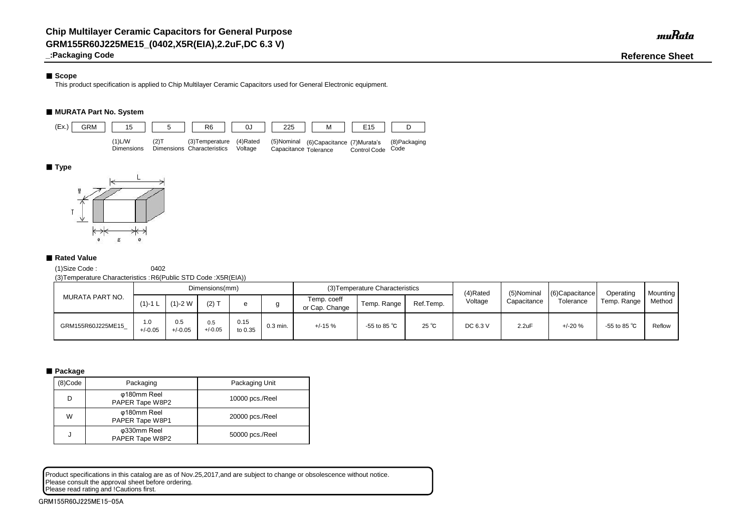# ■ Scope

**\_:Packaging Code Reference Sheet**

This product specification is applied to Chip Multilayer Ceramic Capacitors used for General Electronic equipment.

# ■ **MURATA Part No. System**

(1)Size Code : 0402

(3)Temperature Characteristics :R6(Public STD Code :X5R(EIA))

# ■ **Package**

Product specifications in this catalog are as of Nov.25,2017,and are subject to change or obsolescence without notice. Please consult the approval sheet before ordering. Please read rating and !Cautions first.

| MURATA PART NO.   |                  |                  | Dimensions(mm)   |                 |            |                               | (3) Temperature Characteristics |                | (4)Rated | (5)Nominal  | $(6)$ Capacitance<br>Tolerance | Operating              | <b>Mounting</b><br>Method |
|-------------------|------------------|------------------|------------------|-----------------|------------|-------------------------------|---------------------------------|----------------|----------|-------------|--------------------------------|------------------------|---------------------------|
|                   | $(1)$ -1 L       | $(1)-2$ W        | $(2)$ T          |                 |            | Temp. coeff<br>or Cap. Change | Temp. Range                     | Ref.Temp.      | Voltage  | Capacitance |                                | Temp. Range            |                           |
| GRM155R60J225ME15 | 1.0<br>$+/-0.05$ | 0.5<br>$+/-0.05$ | 0.5<br>$+/-0.05$ | 0.15<br>to 0.35 | $0.3$ min. | $+/-15%$                      | -55 to 85 $^{\circ}$ C          | $25^{\circ}$ C | DC 6.3 V | 2.2uF       | $+/-20%$                       | -55 to 85 $^{\circ}$ C | Reflow                    |

| (8)Code | Packaging                      | Packaging Unit  |
|---------|--------------------------------|-----------------|
| D       | φ180mm Reel<br>PAPER Tape W8P2 | 10000 pcs./Reel |
| W       | φ180mm Reel<br>PAPER Tape W8P1 | 20000 pcs./Reel |
| J       | φ330mm Reel<br>PAPER Tape W8P2 | 50000 pcs./Reel |



# ■ **Type**



# ■ Rated Value

GRM155R60J225ME15-05A

muRata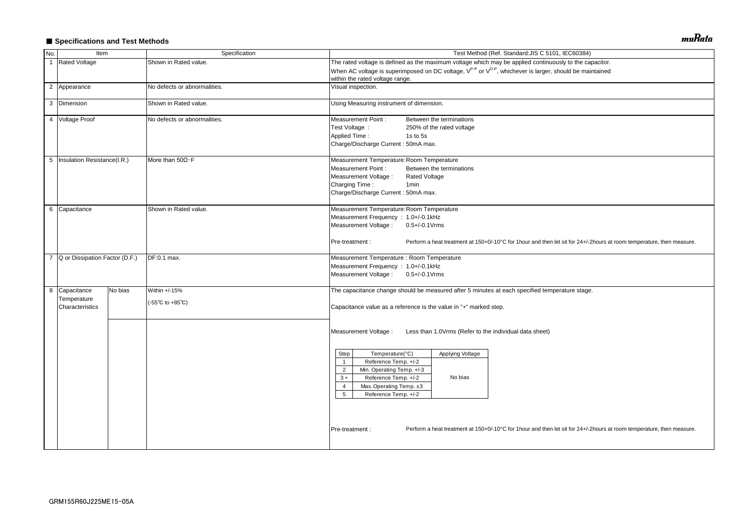# ■ Specifications and Test Methods

| No.            | Item                             |         | Specification                             | Test Method (Ref. Standard: JIS C 5101, IEC60384)                                                                                                                                                                                                                            |
|----------------|----------------------------------|---------|-------------------------------------------|------------------------------------------------------------------------------------------------------------------------------------------------------------------------------------------------------------------------------------------------------------------------------|
| $\overline{1}$ | <b>Rated Voltage</b>             |         | Shown in Rated value.                     | The rated voltage is defined as the maximum voltage which may be applied continuously to the capacitor.                                                                                                                                                                      |
|                |                                  |         |                                           | When AC voltage is superimposed on DC voltage, V <sup>P-P</sup> or V <sup>O-P</sup> , whichever is larger, should be maintained<br>within the rated voltage range.                                                                                                           |
|                | 2 Appearance                     |         | No defects or abnormalities.              | Visual inspection.                                                                                                                                                                                                                                                           |
|                | 3 Dimension                      |         | Shown in Rated value.                     | Using Measuring instrument of dimension.                                                                                                                                                                                                                                     |
|                | 4 Voltage Proof                  |         | No defects or abnormalities.              | Measurement Point:<br>Between the terminations<br>Test Voltage :<br>250% of the rated voltage<br><b>Applied Time:</b><br>1s to 5s<br>Charge/Discharge Current: 50mA max.                                                                                                     |
|                | 5   Insulation Resistance(I.R.)  |         | More than $50\Omega \cdot F$              | Measurement Temperature: Room Temperature<br>Measurement Point :<br>Between the terminations<br>Measurement Voltage :<br><b>Rated Voltage</b><br>Charging Time:<br>1 <sub>min</sub><br>Charge/Discharge Current: 50mA max.                                                   |
|                | 6 Capacitance                    |         | Shown in Rated value.                     | Measurement Temperature: Room Temperature<br>Measurement Frequency : 1.0+/-0.1kHz<br>Measurement Voltage:<br>$0.5 + / -0.1$ Vrms<br>Perform a heat treatment at 150+0/-10°C for 1hour and then let sit for 24+/-2hours at room temperature, then measure.<br>Pre-treatment : |
|                | 7 Q or Dissipation Factor (D.F.) |         | DF:0.1 max.                               | Measurement Temperature : Room Temperature<br>Measurement Frequency : 1.0+/-0.1kHz<br>Measurement Voltage: 0.5+/-0.1Vrms                                                                                                                                                     |
|                | 8 Capacitance                    | No bias | Within +/-15%                             | The capacitance change should be measured after 5 minutes at each specified temperature stage.                                                                                                                                                                               |
|                | Temperature<br>Characteristics   |         | $(-55^{\circ}C \text{ to } +85^{\circ}C)$ | Capacitance value as a reference is the value in "*" marked step.                                                                                                                                                                                                            |
|                |                                  |         |                                           | Measurement Voltage:<br>Less than 1.0Vrms (Refer to the individual data sheet)                                                                                                                                                                                               |
|                |                                  |         |                                           | Temperature(°C)<br>Step<br>Applying Voltage<br>Reference Temp. +/-2<br>- 1<br>$\overline{2}$<br>Min. Operating Temp. +/-3<br>No bias<br>Reference Temp. +/-2<br>$3 *$<br>Max. Operating Temp. ±3<br>$\overline{4}$<br>$5\phantom{.0}$<br>Reference Temp. +/-2                |
|                |                                  |         |                                           | Pre-treatment :<br>Perform a heat treatment at 150+0/-10°C for 1hour and then let sit for 24+/-2hours at room temperature, then measure.                                                                                                                                     |

muRata

| )                                         |
|-------------------------------------------|
| apacitor.                                 |
| intained                                  |
|                                           |
|                                           |
|                                           |
|                                           |
|                                           |
|                                           |
|                                           |
|                                           |
|                                           |
|                                           |
|                                           |
|                                           |
|                                           |
|                                           |
|                                           |
|                                           |
| 2hours at room temperature, then measure. |
|                                           |
|                                           |
|                                           |
|                                           |
| 9.                                        |
|                                           |
|                                           |
|                                           |
|                                           |
|                                           |
|                                           |
|                                           |
|                                           |
|                                           |
|                                           |
|                                           |
|                                           |
|                                           |
| 2hours at room temperature, then measure. |
|                                           |
|                                           |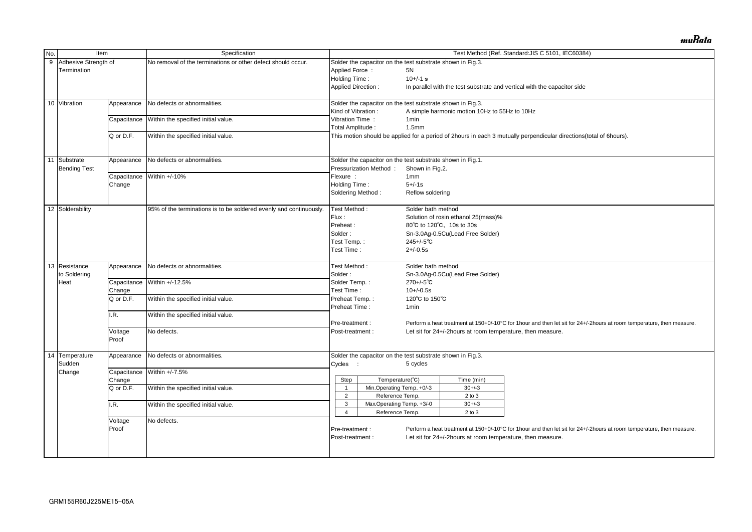| No. | Item                   |             | Specification                                                      |                           |                                                            |                    |                                               | Test Method (Ref. Standard: JIS C 5101, IEC60384)                                                                     |
|-----|------------------------|-------------|--------------------------------------------------------------------|---------------------------|------------------------------------------------------------|--------------------|-----------------------------------------------|-----------------------------------------------------------------------------------------------------------------------|
|     | 9 Adhesive Strength of |             | No removal of the terminations or other defect should occur.       |                           | Solder the capacitor on the test substrate shown in Fig.3. |                    |                                               |                                                                                                                       |
|     | Termination            |             |                                                                    | Applied Force:            |                                                            | 5N                 |                                               |                                                                                                                       |
|     |                        |             |                                                                    | Holding Time:             |                                                            | $10+/-1$ s         |                                               |                                                                                                                       |
|     |                        |             |                                                                    |                           |                                                            |                    |                                               |                                                                                                                       |
|     |                        |             |                                                                    | <b>Applied Direction:</b> |                                                            |                    |                                               | In parallel with the test substrate and vertical with the capacitor side                                              |
|     | 10 Vibration           | Appearance  | No defects or abnormalities.                                       |                           | Solder the capacitor on the test substrate shown in Fig.3. |                    |                                               |                                                                                                                       |
|     |                        |             |                                                                    | Kind of Vibration:        |                                                            |                    | A simple harmonic motion 10Hz to 55Hz to 10Hz |                                                                                                                       |
|     |                        | Capacitance | Within the specified initial value.                                | Vibration Time:           |                                                            | 1 <sub>min</sub>   |                                               |                                                                                                                       |
|     |                        |             |                                                                    | Total Amplitude:          |                                                            | 1.5 <sub>mm</sub>  |                                               |                                                                                                                       |
|     |                        | Q or D.F.   | Within the specified initial value.                                |                           |                                                            |                    |                                               | This motion should be applied for a period of 2hours in each 3 mutually perpendicular directions(total of 6hours).    |
|     |                        |             |                                                                    |                           |                                                            |                    |                                               |                                                                                                                       |
|     | 11 Substrate           | Appearance  | No defects or abnormalities.                                       |                           | Solder the capacitor on the test substrate shown in Fig.1. |                    |                                               |                                                                                                                       |
|     | <b>Bending Test</b>    |             |                                                                    |                           | Pressurization Method:                                     | Shown in Fig.2.    |                                               |                                                                                                                       |
|     |                        | Capacitance | Within +/-10%                                                      | Flexure :                 |                                                            | 1mm                |                                               |                                                                                                                       |
|     |                        | Change      |                                                                    | Holding Time:             |                                                            | $5 + (-1s)$        |                                               |                                                                                                                       |
|     |                        |             |                                                                    |                           |                                                            |                    |                                               |                                                                                                                       |
|     |                        |             |                                                                    | Soldering Method:         |                                                            | Reflow soldering   |                                               |                                                                                                                       |
|     | 12 Solderability       |             | 95% of the terminations is to be soldered evenly and continuously. | Test Method:              |                                                            | Solder bath method |                                               |                                                                                                                       |
|     |                        |             |                                                                    | Flux:                     |                                                            |                    | Solution of rosin ethanol 25(mass)%           |                                                                                                                       |
|     |                        |             |                                                                    | Preheat:                  |                                                            |                    | 80°C to 120°C, 10s to 30s                     |                                                                                                                       |
|     |                        |             |                                                                    | Solder:                   |                                                            |                    | Sn-3.0Ag-0.5Cu(Lead Free Solder)              |                                                                                                                       |
|     |                        |             |                                                                    | Test Temp.:               |                                                            | $245 + (-5)$ °C    |                                               |                                                                                                                       |
|     |                        |             |                                                                    | Test Time:                |                                                            | $2+/-0.5s$         |                                               |                                                                                                                       |
|     |                        |             |                                                                    |                           |                                                            |                    |                                               |                                                                                                                       |
|     | 13 Resistance          | Appearance  | No defects or abnormalities.                                       | Test Method:              |                                                            | Solder bath method |                                               |                                                                                                                       |
|     | to Soldering           |             |                                                                    | Solder:                   |                                                            |                    | Sn-3.0Ag-0.5Cu(Lead Free Solder)              |                                                                                                                       |
|     |                        | Capacitance | Within +/-12.5%                                                    | Solder Temp.:             |                                                            | $270 + (-5)$ °C    |                                               |                                                                                                                       |
|     | Heat                   |             |                                                                    |                           |                                                            |                    |                                               |                                                                                                                       |
|     |                        | Change      |                                                                    | Test Time:                |                                                            | $10+/-0.5s$        |                                               |                                                                                                                       |
|     |                        | Q or D.F.   | Within the specified initial value.                                | Preheat Temp.:            |                                                            | 120°C to 150°C     |                                               |                                                                                                                       |
|     |                        |             |                                                                    | Preheat Time:             |                                                            | 1 <sub>min</sub>   |                                               |                                                                                                                       |
|     |                        | .R.         | Within the specified initial value.                                |                           |                                                            |                    |                                               |                                                                                                                       |
|     |                        |             |                                                                    | Pre-treatment :           |                                                            |                    |                                               | Perform a heat treatment at 150+0/-10°C for 1hour and then let sit for 24+/-2hours at room temperature, then measure. |
|     |                        | Voltage     | No defects.                                                        | Post-treatment :          |                                                            |                    |                                               | Let sit for 24+/-2hours at room temperature, then measure.                                                            |
|     |                        | Proof       |                                                                    |                           |                                                            |                    |                                               |                                                                                                                       |
|     | 14 Temperature         | Appearance  | No defects or abnormalities.                                       |                           | Solder the capacitor on the test substrate shown in Fig.3. |                    |                                               |                                                                                                                       |
|     | Sudden                 |             |                                                                    | Cycles :                  |                                                            | 5 cycles           |                                               |                                                                                                                       |
|     | Change                 |             | Capacitance Within +/-7.5%                                         |                           |                                                            |                    |                                               |                                                                                                                       |
|     |                        |             |                                                                    | Step                      | Temperature(°C)                                            |                    | Time (min)                                    |                                                                                                                       |
|     |                        | Change      |                                                                    |                           |                                                            |                    |                                               |                                                                                                                       |
|     |                        | Q or D.F.   | Within the specified initial value.                                |                           | Min.Operating Temp. +0/-3                                  |                    | $30 + / -3$                                   |                                                                                                                       |
|     |                        |             |                                                                    | $\overline{2}$            | Reference Temp.                                            |                    | $2$ to $3$                                    |                                                                                                                       |
|     |                        | I.R.        | Within the specified initial value.                                | 3                         | Max Operating Temp. +3/-0                                  |                    | $30 + -3$                                     |                                                                                                                       |
|     |                        |             |                                                                    | 4                         | Reference Temp.                                            |                    | $2$ to $3$                                    |                                                                                                                       |
|     |                        | Voltage     | No defects.                                                        |                           |                                                            |                    |                                               |                                                                                                                       |
|     |                        | Proof       |                                                                    | Pre-treatment :           |                                                            |                    |                                               | Perform a heat treatment at 150+0/-10°C for 1hour and then let sit for 24+/-2hours at room temperature, then measure. |
|     |                        |             |                                                                    | Post-treatment :          |                                                            |                    |                                               | Let sit for 24+/-2hours at room temperature, then measure.                                                            |
|     |                        |             |                                                                    |                           |                                                            |                    |                                               |                                                                                                                       |
|     |                        |             |                                                                    |                           |                                                            |                    |                                               |                                                                                                                       |
|     |                        |             |                                                                    |                           |                                                            |                    |                                               |                                                                                                                       |

muRata

| al of 6hours).                          |
|-----------------------------------------|
|                                         |
|                                         |
|                                         |
|                                         |
|                                         |
|                                         |
|                                         |
|                                         |
|                                         |
|                                         |
|                                         |
|                                         |
|                                         |
|                                         |
|                                         |
|                                         |
|                                         |
|                                         |
|                                         |
|                                         |
|                                         |
|                                         |
| ours at room temperature, then measure. |
|                                         |
|                                         |
|                                         |
|                                         |
|                                         |
|                                         |
|                                         |
|                                         |
|                                         |
|                                         |
|                                         |
|                                         |
| ours at room temperature, then measure. |
|                                         |
|                                         |
|                                         |
|                                         |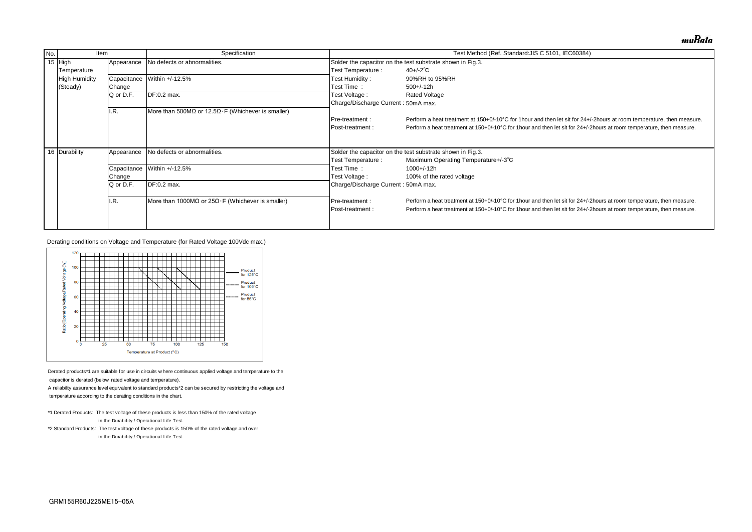| No. | Item                 |             | Specification                                             |                                                            | Test Method (Ref. Standard: JIS C 5101, IEC60384)                              |  |  |  |  |
|-----|----------------------|-------------|-----------------------------------------------------------|------------------------------------------------------------|--------------------------------------------------------------------------------|--|--|--|--|
|     | 15 $High$            | Appearance  | No defects or abnormalities.                              |                                                            | Solder the capacitor on the test substrate shown in Fig.3.                     |  |  |  |  |
|     | Temperature          |             |                                                           | Test Temperature :                                         | $40 + (-2)$ °C                                                                 |  |  |  |  |
|     | <b>High Humidity</b> | Capacitance | Within +/-12.5%                                           | Test Humidity:                                             | 90%RH to 95%RH                                                                 |  |  |  |  |
|     | (Steady)             | Change      |                                                           | Test Time:                                                 | $500+/-12h$                                                                    |  |  |  |  |
|     |                      | Q or D.F.   | DF:0.2 max.                                               | Test Voltage :                                             | <b>Rated Voltage</b>                                                           |  |  |  |  |
|     |                      |             |                                                           | Charge/Discharge Current: 50mA max.                        |                                                                                |  |  |  |  |
|     |                      | I.R.        | More than 500MΩ or 12.5Ω $\cdot$ F (Whichever is smaller) |                                                            |                                                                                |  |  |  |  |
|     |                      |             |                                                           | <b>IPre-treatment:</b>                                     | Perform a heat treatment at 150+0/-10°C for 1 hour and then let sit for 24+/-  |  |  |  |  |
|     |                      |             |                                                           | <b>IPost-treatment:</b>                                    | Perform a heat treatment at 150+0/-10°C for 1 hour and then let sit for 24+/-2 |  |  |  |  |
|     |                      |             |                                                           |                                                            |                                                                                |  |  |  |  |
|     |                      |             |                                                           |                                                            |                                                                                |  |  |  |  |
|     | 16 Durability        | Appearance  | No defects or abnormalities.                              | Solder the capacitor on the test substrate shown in Fig.3. |                                                                                |  |  |  |  |
|     |                      |             |                                                           | Test Temperature :                                         | Maximum Operating Temperature+/-3°C                                            |  |  |  |  |
|     |                      | Capacitance | Within +/-12.5%                                           | Test Time:                                                 | 1000+/-12h                                                                     |  |  |  |  |
|     |                      | Change      |                                                           | Test Voltage :                                             | 100% of the rated voltage                                                      |  |  |  |  |
|     |                      | Q or D.F.   | DF:0.2 max.                                               | Charge/Discharge Current: 50mA max.                        |                                                                                |  |  |  |  |
|     |                      |             |                                                           |                                                            |                                                                                |  |  |  |  |
|     |                      | I.R.        | More than 1000MΩ or $25Ω·F$ (Whichever is smaller)        | <b>Pre-treatment:</b>                                      | Perform a heat treatment at 150+0/-10°C for 1 hour and then let sit for 24+/-2 |  |  |  |  |
|     |                      |             |                                                           | <b>IPost-treatment:</b>                                    | Perform a heat treatment at 150+0/-10°C for 1 hour and then let sit for 24+/-2 |  |  |  |  |
|     |                      |             |                                                           |                                                            |                                                                                |  |  |  |  |
|     |                      |             |                                                           |                                                            |                                                                                |  |  |  |  |

- \*1 Derated Products: The test voltage of these products is less than 150% of the rated voltage  $*$ 1 Derated Products: The test voltage of these products is les<br>in the Durability / Operational Life Test.
- \*2 Standard Products: The test voltage of these products is 150% of the rated voltage and over in the Durability / Operational Life Test.<br>\*2 Standard Products: The test voltage of these products is 1<br>in the Durability / Operational Life Test.

Derating conditions on Voltage and Temperature (for Rated Voltage 100Vdc max.)



Derated products\*1 are suitable for use in circuits where concapacitor is derated (below rated voltage and temperature).

A reliability assurance level equivalent to standard products\*2 can be secured by restricting the voltage and

temperature according to the derating conditions in the chart.

muRata

'-2hours at room temperature, then measure. hours at room temperature, then measure.

hours at room temperature, then measure. hours at room temperature, then measure.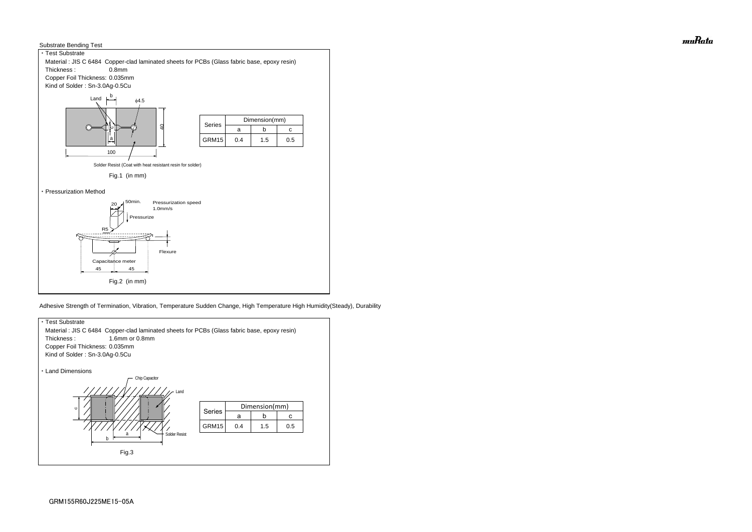



Adhesive Strength of Termination, Vibration, Temperature Sudden Change, High Temperature High Humidity(Steady), Durability



muRata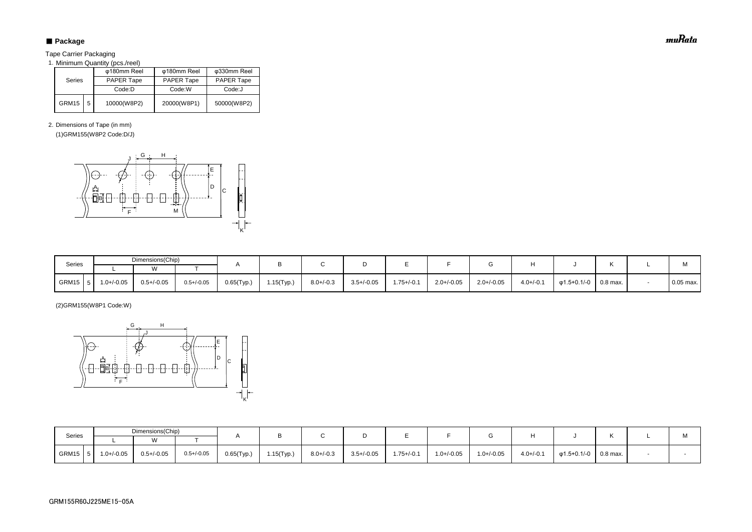# ■ Package

Tape Carrier Packaging

1. Minimum Quantity (pcs./reel)

2. Dimensions of Tape (in mm)

(1)GRM155(W8P2 Code:D/J)

(2)GRM155(W8P1 Code:W)

| Series |   | φ180mm Reel       | φ180mm Reel       | φ330mm Reel       |  |  |
|--------|---|-------------------|-------------------|-------------------|--|--|
|        |   | <b>PAPER Tape</b> | <b>PAPER Tape</b> | <b>PAPER Tape</b> |  |  |
|        |   | Code:D            | Code:W            | Code:J            |  |  |
| GRM15  | 5 | 10000(W8P2)       | 20000(W8P1)       | 50000(W8P2)       |  |  |

| Series | Dimensions(Chip) |                 |                 |               |               |                |                 |                 |                 |                 |                |                   |                       |     |
|--------|------------------|-----------------|-----------------|---------------|---------------|----------------|-----------------|-----------------|-----------------|-----------------|----------------|-------------------|-----------------------|-----|
|        |                  | ۱Λ              |                 |               |               |                |                 |                 |                 |                 |                |                   |                       | IVI |
| GRM15  | $1.0 + (-0.05)$  | $0.5 + (-0.05)$ | $0.5 + (-0.05)$ | $0.65$ (Typ.) | $1.15$ (Typ.) | $8.0 + / -0.3$ | $3.5 + (-0.05)$ | $1.75 + (-0.1)$ | $1.0 + (-0.05)$ | $1.0 + / -0.05$ | $4.0 + (-0.1)$ | $\phi$ 1.5+0.1/-0 | $\,^{\circ}$ 0.8 max. |     |

| Series    | Dimensions(Chip) |                 |                 |               |            |                |                 |                 |                 |                 |                |                                       |  | M           |
|-----------|------------------|-----------------|-----------------|---------------|------------|----------------|-----------------|-----------------|-----------------|-----------------|----------------|---------------------------------------|--|-------------|
|           |                  | $\overline{M}$  |                 |               |            |                |                 |                 |                 |                 |                |                                       |  |             |
| $GRM15$ 5 | 1.0+/-0.05       | $0.5 + / -0.05$ | $0.5 + (-0.05)$ | $0.65$ (Typ.) | 1.15(Typ.) | $8.0 + (-0.3)$ | $3.5 + / -0.05$ | $1.75 + (-0.1)$ | $2.0 + (-0.05)$ | $2.0 + / -0.05$ | $4.0 + (-0.1)$ | $\varphi$ 1.5+0.1/-0 $\vert$ 0.8 max. |  | $0.05$ max. |



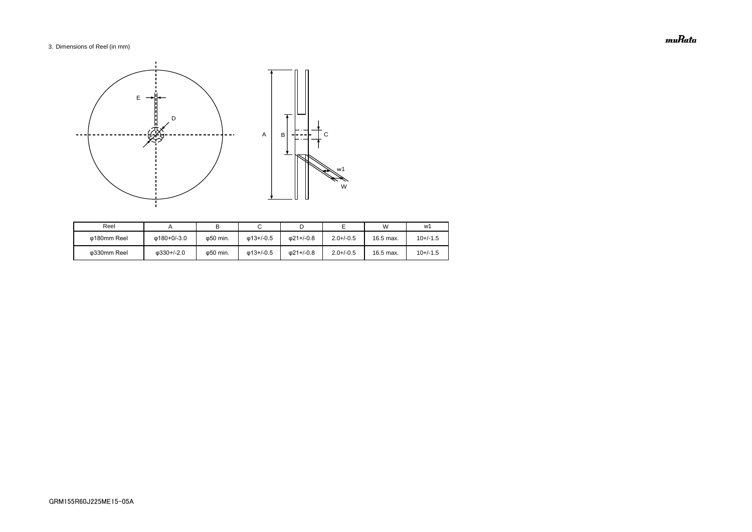# 3. Dimensions of Reel (in mm)

| Reel        |                    |                   |                   |                   |                | W         | w1         |
|-------------|--------------------|-------------------|-------------------|-------------------|----------------|-----------|------------|
| ω180mm Reel | Φ180+0/-3.0        | ω50 min.          | $\omega$ 13+/-0.5 | $\omega$ 21+/-0.8 | $2.0 + (-0.5)$ | 16.5 max. | $10+/-1.5$ |
| Φ330mm Reel | $\omega$ 330+/-2.0 | $\varphi$ 50 min. | $\omega$ 13+/-0.5 | 021+/-0.8         | $2.0 + (-0.5)$ | 16.5 max. | $10+/-1.5$ |



muRata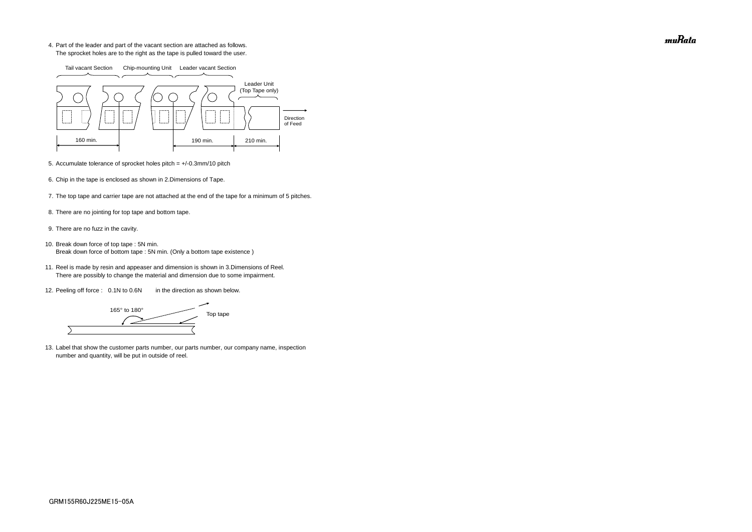4. Part of the leader and part of the vacant section are attached as follows. The sprocket holes are to the right as the tape is pulled toward the user.

- 5. Accumulate tolerance of sprocket holes pitch = +/-0.3mm/10 pitch
- 6. Chip in the tape is enclosed as shown in 2.Dimensions of Tape.
- 7. The top tape and carrier tape are not attached at the end of the tape for a minimum of 5 pitches.
- 8. There are no jointing for top tape and bottom tape.
- 9. There are no fuzz in the cavity.
- 10. Break down force of top tape : 5N min. Break down force of bottom tape : 5N min. (Only a bottom tape existence)
	- 11. Reel is made by resin and appeaser and dimension is shown in 3.Dimensions of Reel. There are possibly to change the material and dimension due to some impairment.
	- 12. Peeling off force : 0.1N to 0.6N in the direction as shown below.

165° to 180° Top tape  $\overline{\phantom{0}}$ 

13. Label that show the customer parts number, our parts number, our company name, inspection number and quantity, will be put in outside of reel.



muRata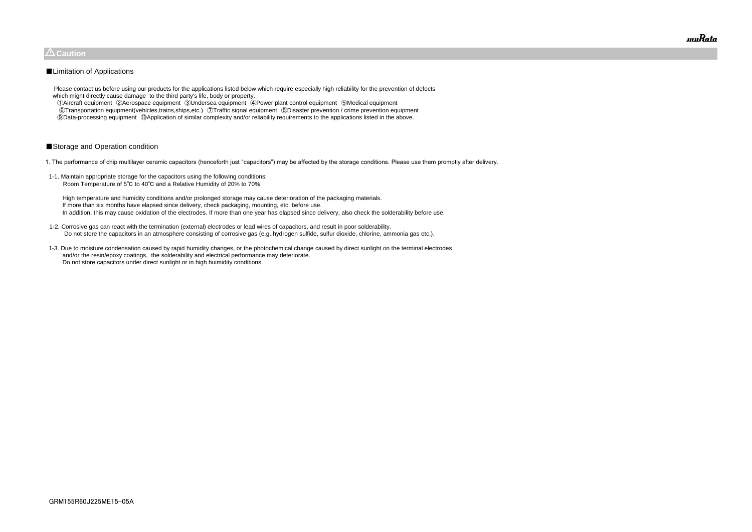Please contact us before using our products for the applications listed below which require especially high reliability for the prevention of defects which might directly cause damage to the third party's life, body or property.

 ①Aircraft equipment ②Aerospace equipment ③Undersea equipment ④Power plant control equipment ⑤Medical equipment ⑥Transportation equipment(vehicles,trains,ships,etc.) ⑦Traffic signal equipment ⑧Disaster prevention / crime prevention equipment ⑨Data-processing equipment ⑩Application of similar complexity and/or reliability requirements to the applications listed in the above.

# ■Storage and Operation condition

1. The performance of chip multilayer ceramic capacitors (henceforth just "capacitors") may be affected by the storage conditions. Please use them promptly after delivery.

1-1. Maintain appropriate storage for the capacitors using the following conditions: Room Temperature of 5℃ to 40℃ and a Relative Humidity of 20% to 70%.

 High temperature and humidity conditions and/or prolonged storage may cause deterioration of the packaging materials. If more than six months have elapsed since delivery, check packaging, mounting, etc. before use. In addition, this may cause oxidation of the electrodes. If more than one year has elapsed since delivery, also check the solderability before use.

- 1-2. Corrosive gas can react with the termination (external) electrodes or lead wires of capacitors, and result in poor solderability. Do not store the capacitors in an atmosphere consisting of corrosive gas (e.g.,hydrogen sulfide, sulfur dioxide, chlorine, ammonia gas etc.).
- 1-3. Due to moisture condensation caused by rapid humidity changes, or the photochemical change caused by direct sunlight on the terminal electrodes and/or the resin/epoxy coatings, the solderability and electrical performance may deteriorate. Do not store capacitors under direct sunlight or in high huimidity conditions.



# $\triangle$ Caution

# ■Limitation of Applications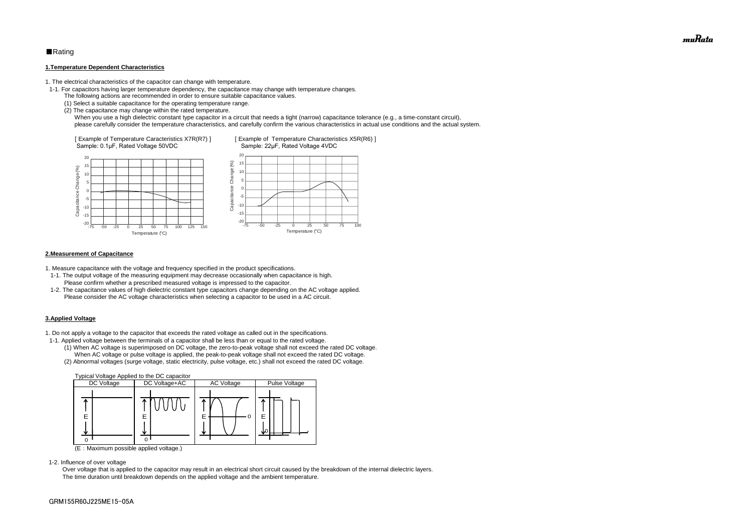# ■Rating

#### **1.Temperature Dependent Characteristics**

1. The electrical characteristics of the capacitor can change with temperature.

- 1-1. For capacitors having larger temperature dependency, the capacitance may change with temperature changes.
	- The following actions are recommended in order to ensure suitable capacitance values.
	- (1) Select a suitable capacitance for the operating temperature range.
	- (2) The capacitance may change within the rated temperature.

When you use a high dielectric constant type capacitor in a circuit that needs a tight (narrow) capacitance tolerance (e.g., a time-constant circuit), please carefully consider the temperature characteristics, and carefully confirm the various characteristics in actual use conditions and the actual system.

#### **2.Measurement of Capacitance**

1. Measure capacitance with the voltage and frequency specified in the product specifications.

- 1-1. The output voltage of the measuring equipment may decrease occasionally when capacitance is high. Please confirm whether a prescribed measured voltage is impressed to the capacitor.
- 1-2. The capacitance values of high dielectric constant type capacitors change depending on the AC voltage applied. Please consider the AC voltage characteristics when selecting a capacitor to be used in a AC circuit.

#### **3.Applied Voltage**

1. Do not apply a voltage to the capacitor that exceeds the rated voltage as called out in the specifications.



- 1-1. Applied voltage between the terminals of a capacitor shall be less than or equal to the rated voltage.
	- (1) When AC voltage is superimposed on DC voltage, the zero-to-peak voltage shall not exceed the rated DC voltage. When AC voltage or pulse voltage is applied, the peak-to-peak voltage shall not exceed the rated DC voltage.
	- (2) Abnormal voltages (surge voltage, static electricity, pulse voltage, etc.) shall not exceed the rated DC voltage.



(E:Maximum possible applied voltage.)

1-2. Influence of over voltage

 Over voltage that is applied to the capacitor may result in an electrical short circuit caused by the breakdown of the internal dielectric layers. The time duration until breakdown depends on the applied voltage and the ambient temperature.

muRata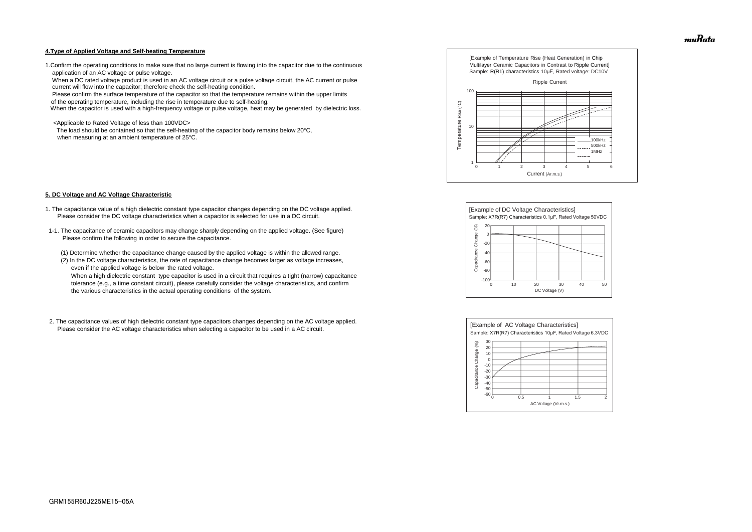#### **4.Type of Applied Voltage and Self-heating Temperature**

1.Confirm the operating conditions to make sure that no large current is flowing into the capacitor due to the continuous application of an AC voltage or pulse voltage.

 When a DC rated voltage product is used in an AC voltage circuit or a pulse voltage circuit, the AC current or pulse current will flow into the capacitor; therefore check the self-heating condition.

Please confirm the surface temperature of the capacitor so that the temperature remains within the upper limits

of the operating temperature, including the rise in temperature due to self-heating.

When the capacitor is used with a high-frequency voltage or pulse voltage, heat may be generated by dielectric loss.

<Applicable to Rated Voltage of less than 100VDC>

 The load should be contained so that the self-heating of the capacitor body remains below 20°C, when measuring at an ambient temperature of 25°C.

#### **5. DC Voltage and AC Voltage Characteristic**

- 1. The capacitance value of a high dielectric constant type capacitor changes depending on the DC voltage applied. Please consider the DC voltage characteristics when a capacitor is selected for use in a DC circuit.
- 1-1. The capacitance of ceramic capacitors may change sharply depending on the applied voltage. (See figure) Please confirm the following in order to secure the capacitance.
	- (1) Determine whether the capacitance change caused by the applied voltage is within the allowed range.
	- (2) In the DC voltage characteristics, the rate of capacitance change becomes larger as voltage increases, even if the applied voltage is below the rated voltage.

 When a high dielectric constant type capacitor is used in a circuit that requires a tight (narrow) capacitance tolerance (e.g., a time constant circuit), please carefully consider the voltage characteristics, and confirm the various characteristics in the actual operating conditions of the system.

2. The capacitance values of high dielectric constant type capacitors changes depending on the AC voltage applied. Please consider the AC voltage characteristics when selecting a capacitor to be used in a AC circuit.









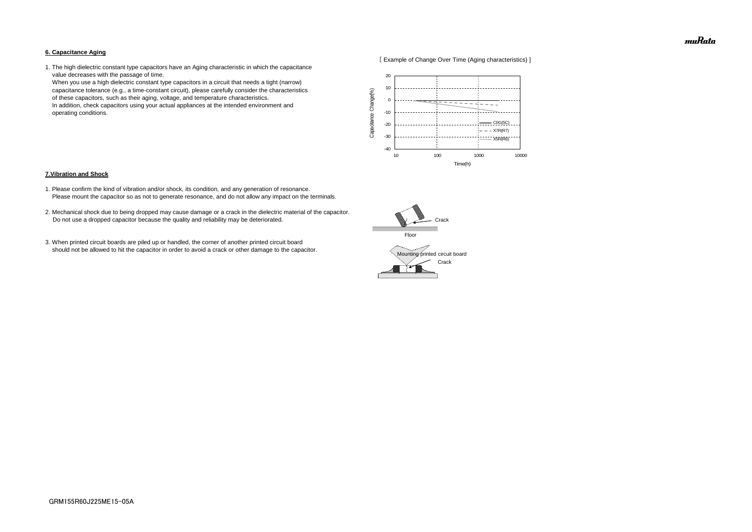#### **6. Capacitance Aging**



1. The high dielectric constant type capacitors have an Aging characteristic in which the capacitance value decreases with the passage of time.

 When you use a high dielectric constant type capacitors in a circuit that needs a tight (narrow) capacitance tolerance (e.g., a time-constant circuit), please carefully consider the characteristics of these capacitors, such as their aging, voltage, and temperature characteristics. In addition, check capacitors using your actual appliances at the intended environment and operating conditions.

#### **7.Vibration and Shock**

- 1. Please confirm the kind of vibration and/or shock, its condition, and any generation of resonance. Please mount the capacitor so as not to generate resonance, and do not allow any impact on the terminals.
- 2. Mechanical shock due to being dropped may cause damage or a crack in the dielectric material of the capacitor. Do not use a dropped capacitor because the quality and reliability may be deteriorated.
- 3. When printed circuit boards are piled up or handled, the corner of another printed circuit board should not be allowed to hit the capacitor in order to avoid a crack or other damage to the capacitor.





muRata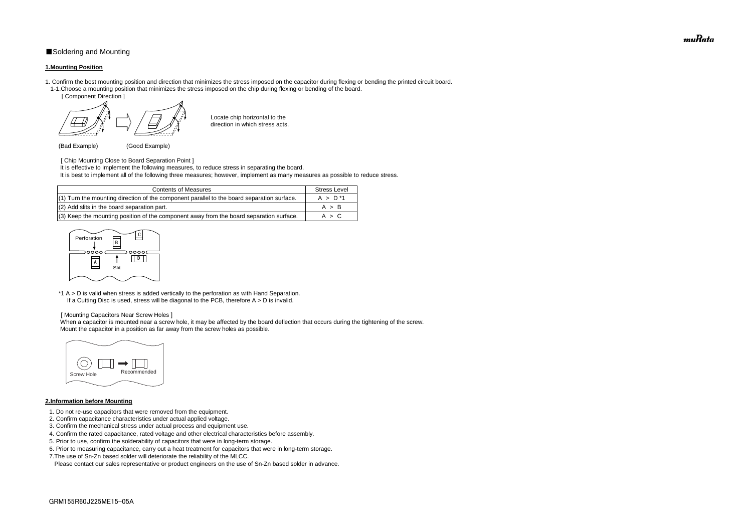# ■Soldering and Mounting

#### **1.Mounting Position**

- 1. Confirm the best mounting position and direction that minimizes the stress imposed on the capacitor during flexing or bending the printed circuit board. 1-1.Choose a mounting position that minimizes the stress imposed on the chip during flexing or bending of the board.
	- [ Component Direction ]

- [ Chip Mounting Close to Board Separation Point ]
- It is effective to implement the following measures, to reduce stress in separating the board.
- It is best to implement all of the following three measures; however, implement as many measures as possible to reduce stress.

Locate chip horizontal to the direction in which stress acts.

(Bad Example) (Good Example)

\*1 A > D is valid when stress is added vertically to the perforation as with Hand Separation. If a Cutting Disc is used, stress will be diagonal to the PCB, therefore  $A > D$  is invalid.

When a capacitor is mounted near a screw hole, it may be affected by the board deflection that occurs during the tightening of the screw. Mount the capacitor in a position as far away from the screw holes as possible.

#### [ Mounting Capacitors Near Screw Holes ]

## **2.Information before Mounting**

| <b>Contents of Measures</b>                                                                  | <b>Stress Level</b> |
|----------------------------------------------------------------------------------------------|---------------------|
| $(1)$ Turn the mounting direction of the component parallel to the board separation surface. | $A > D^*1$          |
| (2) Add slits in the board separation part.                                                  | A > B               |
| (3) Keep the mounting position of the component away from the board separation surface.      | A > C               |

- 1. Do not re-use capacitors that were removed from the equipment.
- 2. Confirm capacitance characteristics under actual applied voltage.
- 3. Confirm the mechanical stress under actual process and equipment use.
- 4. Confirm the rated capacitance, rated voltage and other electrical characteristics before assembly.
- 5. Prior to use, confirm the solderability of capacitors that were in long-term storage.
- 6. Prior to measuring capacitance, carry out a heat treatment for capacitors that were in long-term storage.
- 7.The use of Sn-Zn based solder will deteriorate the reliability of the MLCC.

Please contact our sales representative or product engineers on the use of Sn-Zn based solder in advance.





muRata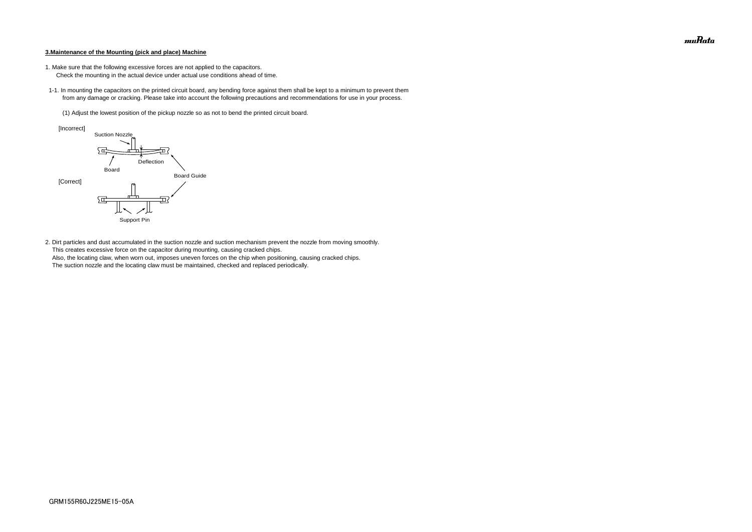#### **3.Maintenance of the Mounting (pick and place) Machine**

- 1. Make sure that the following excessive forces are not applied to the capacitors.
	- Check the mounting in the actual device under actual use conditions ahead of time.
- 1-1. In mounting the capacitors on the printed circuit board, any bending force against them shall be kept to a minimum to prevent them from any damage or cracking. Please take into account the following precautions and recommendations for use in your process.
	- (1) Adjust the lowest position of the pickup nozzle so as not to bend the printed circuit board.

2. Dirt particles and dust accumulated in the suction nozzle and suction mechanism prevent the nozzle from moving smoothly. This creates excessive force on the capacitor during mounting, causing cracked chips. Also, the locating claw, when worn out, imposes uneven forces on the chip when positioning, causing cracked chips. The suction nozzle and the locating claw must be maintained, checked and replaced periodically.



muRata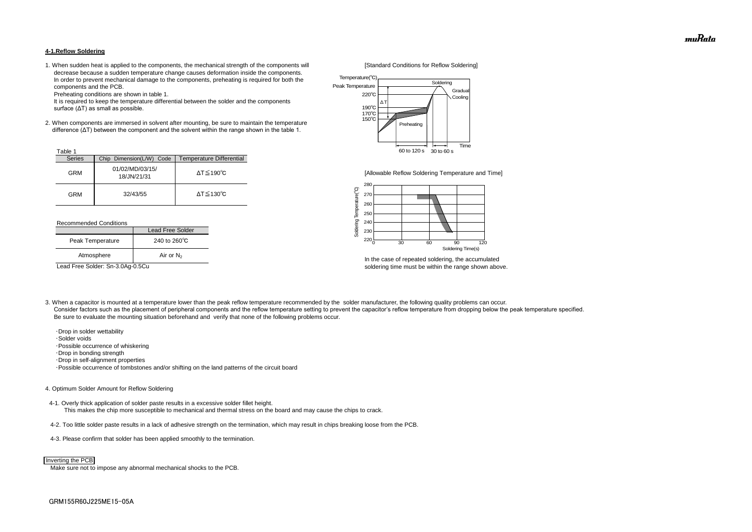#### **4-1.Reflow Soldering**

1. When sudden heat is applied to the components, the mechanical strength of the components will [Standard Conditions for Reflow Soldering] decrease because a sudden temperature change causes deformation inside the components. In order to prevent mechanical damage to the components, preheating is required for both the components and the PCB.

Preheating conditions are shown in table 1.

 It is required to keep the temperature differential between the solder and the components surface (ΔT) as small as possible.

2. When components are immersed in solvent after mounting, be sure to maintain the temperature difference (ΔT) between the component and the solvent within the range shown in the table 1.

#### Recommended Conditions

3. When a capacitor is mounted at a temperature lower than the peak reflow temperature recommended by the solder manufacturer, the following quality problems can occur. Consider factors such as the placement of peripheral components and the reflow temperature setting to prevent the capacitor's reflow temperature from dropping below the peak temperature specified. Be sure to evaluate the mounting situation beforehand and verify that none of the following problems occur.



In the case of repeated soldering, the accumulated Lead Free Solder: Sn-3.0Ag-0.5Cu soldering time must be within the range shown above.

 ・Drop in solder wettability ・Solder voids ・Possible occurrence of whiskering ・Drop in bonding strength ・Drop in self-alignment properties ・Possible occurrence of tombstones and/or shifting on the land patterns of the circuit board

| <sup>-</sup> able |                                |                              |
|-------------------|--------------------------------|------------------------------|
| <b>Series</b>     | Chip Dimension(L/W) Code       | Temperature Differential     |
| <b>GRM</b>        | 01/02/MD/03/15/<br>18/JN/21/31 | $\Delta T \leq 190^{\circ}C$ |
| <b>GRM</b>        | 32/43/55                       | $\Delta T \leq 130^{\circ}C$ |

#### 4. Optimum Solder Amount for Reflow Soldering

4-1. Overly thick application of solder paste results in a excessive solder fillet height. This makes the chip more susceptible to mechanical and thermal stress on the board and may cause the chips to crack.

- 4-2. Too little solder paste results in a lack of adhesive strength on the termination, which may result in chips breaking loose from the PCB.
- 4-3. Please confirm that solder has been applied smoothly to the termination.

Make sure not to impose any abnormal mechanical shocks to the PCB.

|                  | Lead Free Solder       |  |
|------------------|------------------------|--|
| Peak Temperature | 240 to $260^{\circ}$ C |  |
| Atmosphere       | Air or $N_2$           |  |



#### Inverting the PCB



[Allowable Reflow Soldering Temperature and Time]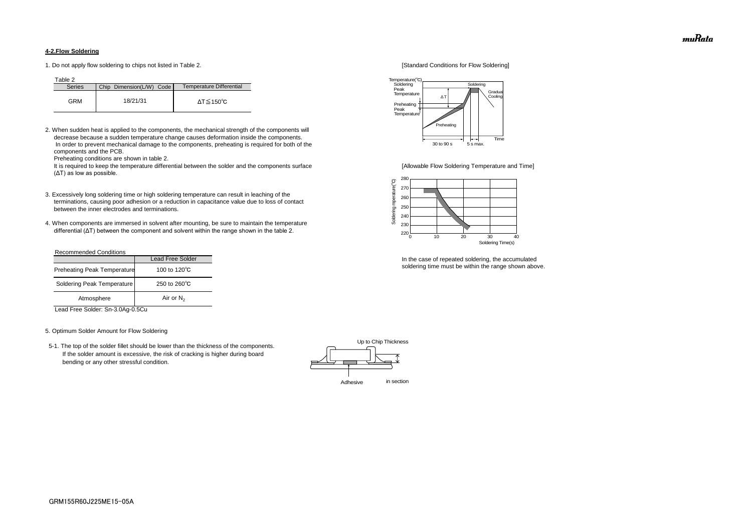#### **4-2.Flow Soldering**

1. Do not apply flow soldering to chips not listed in Table 2. [Standard Conditions for Flow Soldering]

Table 2

2. When sudden heat is applied to the components, the mechanical strength of the components will decrease because a sudden temperature change causes deformation inside the components. In order to prevent mechanical damage to the components, preheating is required for both of the components and the PCB.

It is required to keep the temperature differential between the solder and the components surface [Allowable Flow Soldering Temperature and Time] (ΔT) as low as possible.

Preheating conditions are shown in table 2.

- 3. Excessively long soldering time or high soldering temperature can result in leaching of the terminations, causing poor adhesion or a reduction in capacitance value due to loss of contact between the inner electrodes and terminations.
- 4. When components are immersed in solvent after mounting, be sure to maintain the temperature differential (ΔT) between the component and solvent within the range shown in the table 2.

| <b>Series</b> | Chip Dimension(L/W) Code | Temperature Differential |
|---------------|--------------------------|--------------------------|
| GRM           | 18/21/31                 | ΔT≦150℃                  |

#### Recommended Conditions

Lead Free Solder: Sn-3.0Ag-0.5Cu

#### 5. Optimum Solder Amount for Flow Soldering

 5-1. The top of the solder fillet should be lower than the thickness of the components. If the solder amount is excessive, the risk of cracking is higher during board bending or any other stressful condition.



In the case of repeated soldering, the accumulated soldering time must be within the range shown above.

|                                    | <b>Lead Free Solder</b> |
|------------------------------------|-------------------------|
| <b>Preheating Peak Temperature</b> | 100 to 120 $\degree$ C  |
| Soldering Peak Temperature         | 250 to $260^{\circ}$ C  |
| Atmosphere                         | Air or $N_2$            |





muRata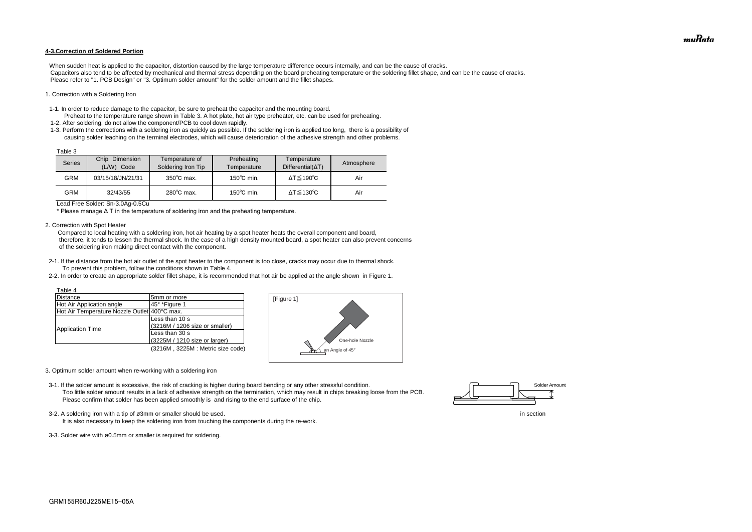#### **4-3.Correction of Soldered Portion**

When sudden heat is applied to the capacitor, distortion caused by the large temperature difference occurs internally, and can be the cause of cracks. Capacitors also tend to be affected by mechanical and thermal stress depending on the board preheating temperature or the soldering fillet shape, and can be the cause of cracks. Please refer to "1. PCB Design" or "3. Optimum solder amount" for the solder amount and the fillet shapes.

#### 1. Correction with a Soldering Iron

- 1-1. In order to reduce damage to the capacitor, be sure to preheat the capacitor and the mounting board.
- Preheat to the temperature range shown in Table 3. A hot plate, hot air type preheater, etc. can be used for preheating. 1-2. After soldering, do not allow the component/PCB to cool down rapidly.
- 1-3. Perform the corrections with a soldering iron as quickly as possible. If the soldering iron is applied too long, there is a possibility of causing solder leaching on the terminal electrodes, which will cause deterioration of the adhesive strength and other problems.

Lead Free Solder: Sn-3.0Ag-0.5Cu

\* Please manage Δ T in the temperature of soldering iron and the preheating temperature.

2. Correction with Spot Heater

 Compared to local heating with a soldering iron, hot air heating by a spot heater heats the overall component and board, therefore, it tends to lessen the thermal shock. In the case of a high density mounted board, a spot heater can also prevent concerns of the soldering iron making direct contact with the component.

- 2-1. If the distance from the hot air outlet of the spot heater to the component is too close, cracks may occur due to thermal shock. To prevent this problem, follow the conditions shown in Table 4.
- 2-2. In order to create an appropriate solder fillet shape, it is recommended that hot air be applied at the angle shown in Figure 1.

| Table 3 |                                    |                                      |                           |                                         |            |
|---------|------------------------------------|--------------------------------------|---------------------------|-----------------------------------------|------------|
| Series  | Chip<br>Dimension<br>(L/W)<br>Code | Temperature of<br>Soldering Iron Tip | Preheating<br>Temperature | Temperature<br>$Differential(\Delta T)$ | Atmosphere |
| GRM     | 03/15/18/JN/21/31                  | $350^{\circ}$ C max.                 | $150^{\circ}$ C min.      | $\Delta T \leq 190^{\circ}C$            | Air        |
| GRM     | 32/43/55                           | $280^{\circ}$ C max.                 | $150^{\circ}$ C min.      | $\Delta T \leq 130^{\circ}C$            | Air        |

- 3. Optimum solder amount when re-working with a soldering iron
- 3-1. If the solder amount is excessive, the risk of cracking is higher during board bending or any other stressful condition. Too little solder amount results in a lack of adhesive strength on the termination, which may result in chips breaking loose from the PCB. Please confirm that solder has been applied smoothly is and rising to the end surface of the chip.

| Table 4                                      |                                  |
|----------------------------------------------|----------------------------------|
| <b>Distance</b>                              | 5mm or more                      |
| Hot Air Application angle                    | 45° *Figure 1                    |
| Hot Air Temperature Nozzle Outlet 400°C max. |                                  |
|                                              | Less than 10 s                   |
|                                              | (3216M / 1206 size or smaller)   |
| <b>Application Time</b>                      | Less than 30 s                   |
|                                              | (3225M / 1210 size or larger)    |
|                                              | (3216M, 3225M: Metric size code) |

3-3. Solder wire with ø0.5mm or smaller is required for soldering.







3-2. A soldering iron with a tip of ø3mm or smaller should be used. In section

It is also necessary to keep the soldering iron from touching the components during the re-work.

muRata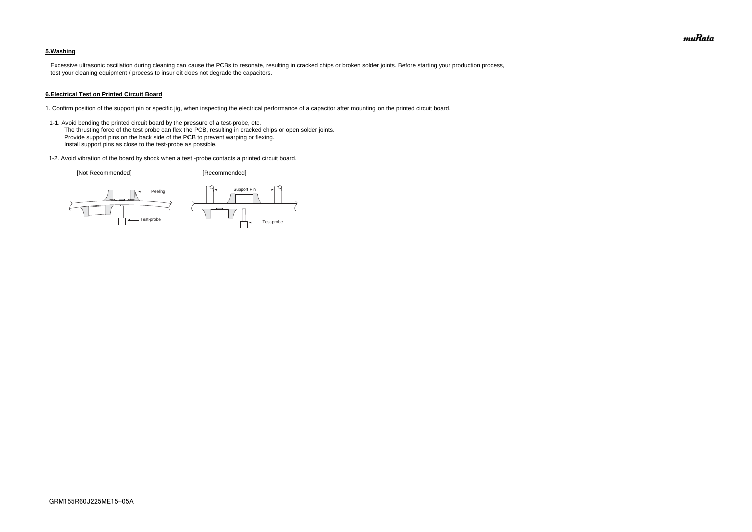### **5.Washing**

 Excessive ultrasonic oscillation during cleaning can cause the PCBs to resonate, resulting in cracked chips or broken solder joints. Before starting your production process, test your cleaning equipment / process to insur eit does not degrade the capacitors.

#### **6.Electrical Test on Printed Circuit Board**

- 1. Confirm position of the support pin or specific jig, when inspecting the electrical performance of a capacitor after mounting on the printed circuit board.
- 1-1. Avoid bending the printed circuit board by the pressure of a test-probe, etc. The thrusting force of the test probe can flex the PCB, resulting in cracked chips or open solder joints. Provide support pins on the back side of the PCB to prevent warping or flexing. Install support pins as close to the test-probe as possible.
- 1-2. Avoid vibration of the board by shock when a test -probe contacts a printed circuit board.

[Not Recommended] [Recommended]





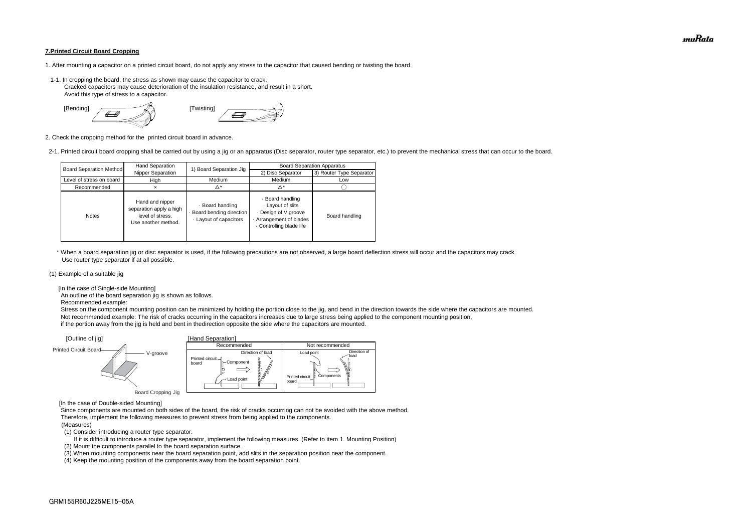#### **7.Printed Circuit Board Cropping**

- 1. After mounting a capacitor on a printed circuit board, do not apply any stress to the capacitor that caused bending or twisting the board.
- 1-1. In cropping the board, the stress as shown may cause the capacitor to crack. Cracked capacitors may cause deterioration of the insulation resistance, and result in a short. Avoid this type of stress to a capacitor.



2. Check the cropping method for the printed circuit board in advance.

2-1. Printed circuit board cropping shall be carried out by using a jig or an apparatus (Disc separator, router type separator, etc.) to prevent the mechanical stress that can occur to the board.

 \* When a board separation jig or disc separator is used, if the following precautions are not observed, a large board deflection stress will occur and the capacitors may crack. Use router type separator if at all possible.

#### (1) Example of a suitable jig

[In the case of Single-side Mounting]

An outline of the board separation jig is shown as follows.

Recommended example:

 Stress on the component mounting position can be minimized by holding the portion close to the jig, and bend in the direction towards the side where the capacitors are mounted. Not recommended example: The risk of cracks occurring in the capacitors increases due to large stress being applied to the component mounting position, if the portion away from the jig is held and bent in thedirection opposite the side where the capacitors are mounted.

[In the case of Double-sided Mounting]

 Since components are mounted on both sides of the board, the risk of cracks occurring can not be avoided with the above method. Therefore, implement the following measures to prevent stress from being applied to the components.

#### (Measures)

(1) Consider introducing a router type separator.

If it is difficult to introduce a router type separator, implement the following measures. (Refer to item 1. Mounting Position)

(2) Mount the components parallel to the board separation surface.

(3) When mounting components near the board separation point, add slits in the separation position near the component.



(4) Keep the mounting position of the components away from the board separation point.

| <b>Board Separation Method</b> | Hand Separation                                                                       | 1) Board Separation Jig                                             | <b>Board Separation Apparatus</b>                                                                              |                          |  |
|--------------------------------|---------------------------------------------------------------------------------------|---------------------------------------------------------------------|----------------------------------------------------------------------------------------------------------------|--------------------------|--|
|                                | Nipper Separation                                                                     |                                                                     | 2) Disc Separator                                                                                              | 3) Router Type Separator |  |
| Level of stress on board       | High                                                                                  | Medium                                                              | Medium                                                                                                         | Low                      |  |
| Recommended                    |                                                                                       | Δ*                                                                  | Δ*                                                                                                             |                          |  |
| <b>Notes</b>                   | Hand and nipper<br>separation apply a high<br>level of stress.<br>Use another method. | · Board handling<br>Board bending direction<br>Layout of capacitors | · Board handling<br>Layout of slits<br>Design of V groove<br>Arrangement of blades<br>. Controlling blade life | Board handling           |  |

muRata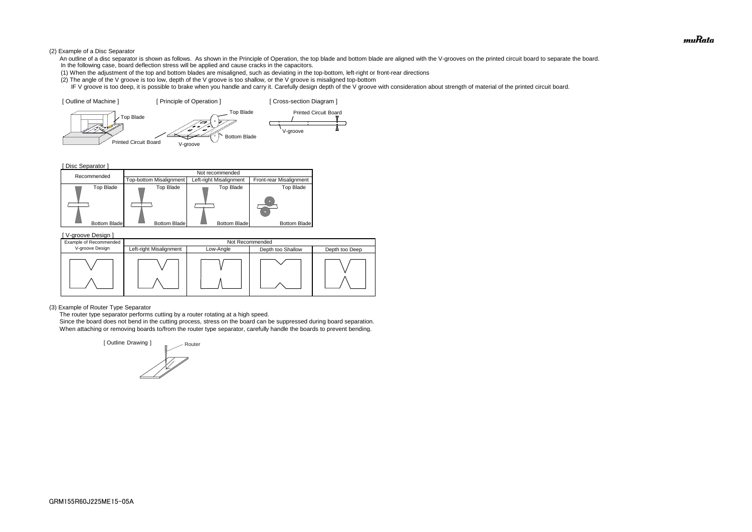#### (2) Example of a Disc Separator

- An outline of a disc separator is shown as follows. As shown in the Principle of Operation, the top blade and bottom blade are aligned with the V-grooves on the printed circuit board to separate the board. In the following case, board deflection stress will be applied and cause cracks in the capacitors.
- (1) When the adjustment of the top and bottom blades are misaligned, such as deviating in the top-bottom, left-right or front-rear directions
- (2) The angle of the V groove is too low, depth of the V groove is too shallow, or the V groove is misaligned top-bottom
- IF V groove is too deep, it is possible to brake when you handle and carry it. Carefully design depth of the V groove with consideration about strength of material of the printed circuit board.

[ Disc Separator ]

(3) Example of Router Type Separator

The router type separator performs cutting by a router rotating at a high speed.





 Since the board does not bend in the cutting process, stress on the board can be suppressed during board separation. When attaching or removing boards to/from the router type separator, carefully handle the boards to prevent bending.

| V-groove Design ]      |                         |                 |                   |                |  |  |
|------------------------|-------------------------|-----------------|-------------------|----------------|--|--|
| Example of Recommended |                         | Not Recommended |                   |                |  |  |
| V-groove Design        | Left-right Misalignment | Low-Angle       | Depth too Shallow | Depth too Deep |  |  |
|                        |                         |                 |                   |                |  |  |

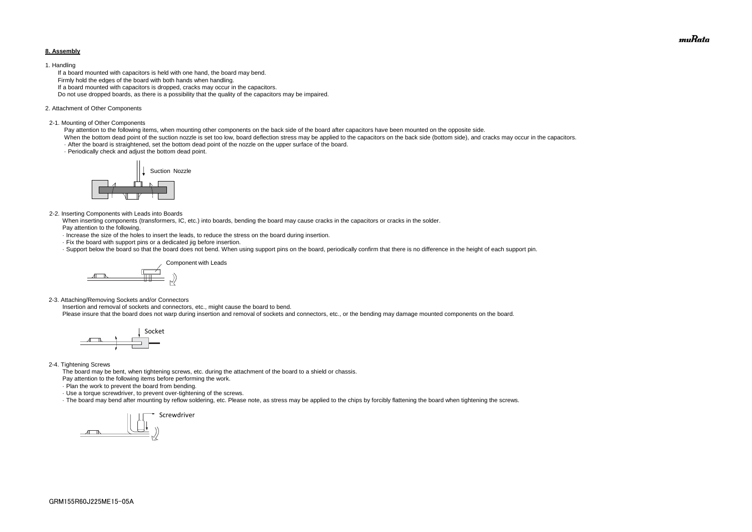#### **8. Assembly**

#### 1. Handling

 If a board mounted with capacitors is held with one hand, the board may bend. Firmly hold the edges of the board with both hands when handling. If a board mounted with capacitors is dropped, cracks may occur in the capacitors. Do not use dropped boards, as there is a possibility that the quality of the capacitors may be impaired.

#### 2. Attachment of Other Components

#### 2-1. Mounting of Other Components

Pay attention to the following items, when mounting other components on the back side of the board after capacitors have been mounted on the opposite side.

When the bottom dead point of the suction nozzle is set too low, board deflection stress may be applied to the capacitors on the back side (bottom side), and cracks may occur in the capacitors. · After the board is straightened, set the bottom dead point of the nozzle on the upper surface of the board.

· Periodically check and adjust the bottom dead point.

#### 2-2. Inserting Components with Leads into Boards

 When inserting components (transformers, IC, etc.) into boards, bending the board may cause cracks in the capacitors or cracks in the solder. Pay attention to the following.

- · Increase the size of the holes to insert the leads, to reduce the stress on the board during insertion.
- · Fix the board with support pins or a dedicated jig before insertion.
- · Support below the board so that the board does not bend. When using support pins on the board, periodically confirm that there is no difference in the height of each support pin.

2-3. Attaching/Removing Sockets and/or Connectors

Insertion and removal of sockets and connectors, etc., might cause the board to bend.

Please insure that the board does not warp during insertion and removal of sockets and connectors, etc., or the bending may damage mounted components on the board.

#### 2-4. Tightening Screws

The board may be bent, when tightening screws, etc. during the attachment of the board to a shield or chassis.

Pay attention to the following items before performing the work.

· Plan the work to prevent the board from bending.

· Use a torque screwdriver, to prevent over-tightening of the screws.

· The board may bend after mounting by reflow soldering, etc. Please note, as stress may be applied to the chips by forcibly flattening the board when tightening the screws.









muRata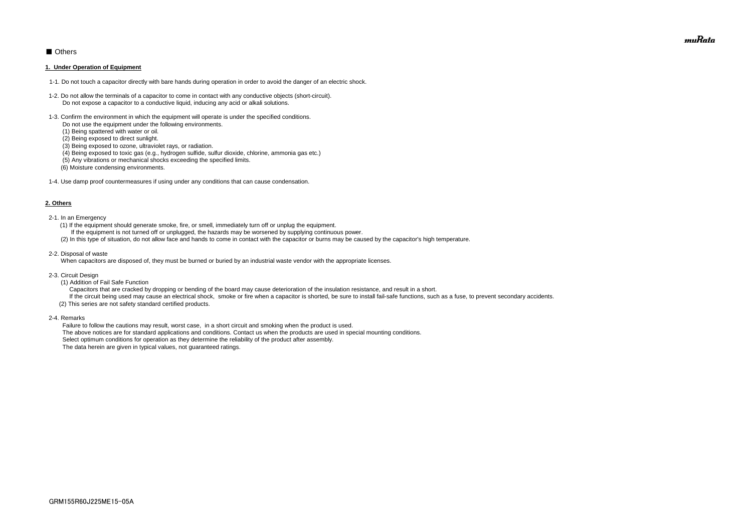# ■ Others

#### **1. Under Operation of Equipment**

- 1-1. Do not touch a capacitor directly with bare hands during operation in order to avoid the danger of an electric shock.
- 1-2. Do not allow the terminals of a capacitor to come in contact with any conductive objects (short-circuit). Do not expose a capacitor to a conductive liquid, inducing any acid or alkali solutions.
- 1-3. Confirm the environment in which the equipment will operate is under the specified conditions.
	- Do not use the equipment under the following environments.
	- (1) Being spattered with water or oil.
	- (2) Being exposed to direct sunlight.
	- (3) Being exposed to ozone, ultraviolet rays, or radiation.
	- (4) Being exposed to toxic gas (e.g., hydrogen sulfide, sulfur dioxide, chlorine, ammonia gas etc.)
	- (5) Any vibrations or mechanical shocks exceeding the specified limits.
	- (6) Moisture condensing environments.
- 1-4. Use damp proof countermeasures if using under any conditions that can cause condensation.

#### **2. Others**

If the circuit being used may cause an electrical shock, smoke or fire when a capacitor is shorted, be sure to install fail-safe functions, such as a fuse, to prevent secondary accidents. (2) This series are not safety standard certified products.

- 2-1. In an Emergency
	- (1) If the equipment should generate smoke, fire, or smell, immediately turn off or unplug the equipment.
	- If the equipment is not turned off or unplugged, the hazards may be worsened by supplying continuous power.
	- (2) In this type of situation, do not allow face and hands to come in contact with the capacitor or burns may be caused by the capacitor's high temperature.
- 2-2. Disposal of waste

When capacitors are disposed of, they must be burned or buried by an industrial waste vendor with the appropriate licenses.

- 2-3. Circuit Design
	- (1) Addition of Fail Safe Function
	- Capacitors that are cracked by dropping or bending of the board may cause deterioration of the insulation resistance, and result in a short.

2-4. Remarks

 Failure to follow the cautions may result, worst case, in a short circuit and smoking when the product is used. The above notices are for standard applications and conditions. Contact us when the products are used in special mounting conditions. Select optimum conditions for operation as they determine the reliability of the product after assembly. The data herein are given in typical values, not guaranteed ratings.

muRata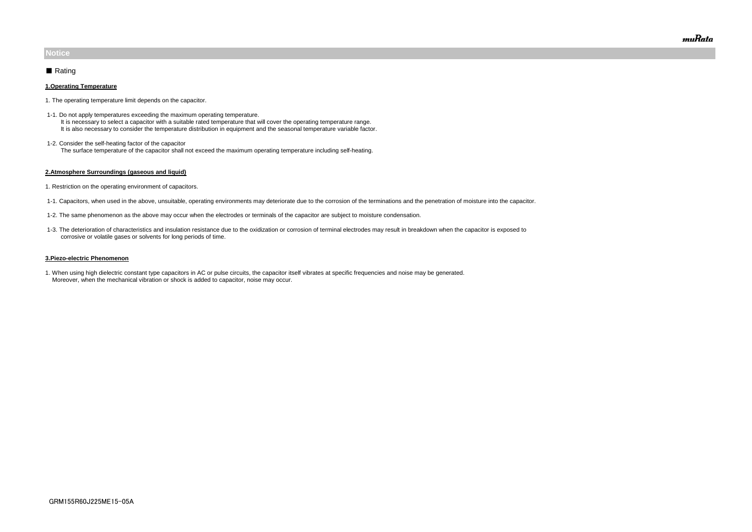#### **1.Operating Temperature**

- 1. The operating temperature limit depends on the capacitor.
- 1-1. Do not apply temperatures exceeding the maximum operating temperature. It is necessary to select a capacitor with a suitable rated temperature that will cover the operating temperature range. It is also necessary to consider the temperature distribution in equipment and the seasonal temperature variable factor.
- 1-2. Consider the self-heating factor of the capacitor The surface temperature of the capacitor shall not exceed the maximum operating temperature including self-heating.

#### **2.Atmosphere Surroundings (gaseous and liquid)**

- 1. Restriction on the operating environment of capacitors.
- 1-1. Capacitors, when used in the above, unsuitable, operating environments may deteriorate due to the corrosion of the terminations and the penetration of moisture into the capacitor.
- 1-2. The same phenomenon as the above may occur when the electrodes or terminals of the capacitor are subject to moisture condensation.
- 1-3. The deterioration of characteristics and insulation resistance due to the oxidization or corrosion of terminal electrodes may result in breakdown when the capacitor is exposed to corrosive or volatile gases or solvents for long periods of time.

#### **3.Piezo-electric Phenomenon**

1. When using high dielectric constant type capacitors in AC or pulse circuits, the capacitor itself vibrates at specific frequencies and noise may be generated. Moreover, when the mechanical vibration or shock is added to capacitor, noise may occur.

# **Notice**

## ■ Rating

muRata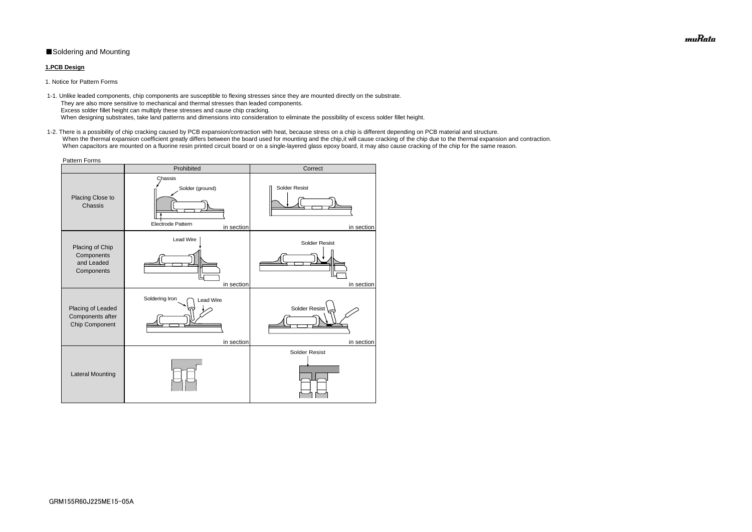# ■Soldering and Mounting

### **1.PCB Design**

1. Notice for Pattern Forms

 1-2. There is a possibility of chip cracking caused by PCB expansion/contraction with heat, because stress on a chip is different depending on PCB material and structure. When the thermal expansion coefficient greatly differs between the board used for mounting and the chip, it will cause cracking of the chip due to the thermal expansion and contraction. When capacitors are mounted on a fluorine resin printed circuit board or on a single-layered glass epoxy board, it may also cause cracking of the chip for the same reason.

 1-1. Unlike leaded components, chip components are susceptible to flexing stresses since they are mounted directly on the substrate. They are also more sensitive to mechanical and thermal stresses than leaded components. Excess solder fillet height can multiply these stresses and cause chip cracking. When designing substrates, take land patterns and dimensions into consideration to eliminate the possibility of excess solder fillet height.

| <b>Pattern Forms</b>                                      |                                                                      |                                    |  |  |  |  |
|-----------------------------------------------------------|----------------------------------------------------------------------|------------------------------------|--|--|--|--|
|                                                           | Prohibited                                                           | Correct                            |  |  |  |  |
| Placing Close to<br>Chassis                               | Chassis<br>Solder (ground)<br><b>Electrode Pattern</b><br>in section | <b>Solder Resist</b><br>in section |  |  |  |  |
| Placing of Chip<br>Components<br>and Leaded<br>Components | Lead Wire<br>in section                                              | <b>Solder Resist</b><br>in section |  |  |  |  |
| Placing of Leaded<br>Components after<br>Chip Component   | Soldering Iron<br><b>Lead Wire</b><br>in section                     | Solder Resist<br>in section        |  |  |  |  |
| <b>Lateral Mounting</b>                                   |                                                                      | <b>Solder Resist</b>               |  |  |  |  |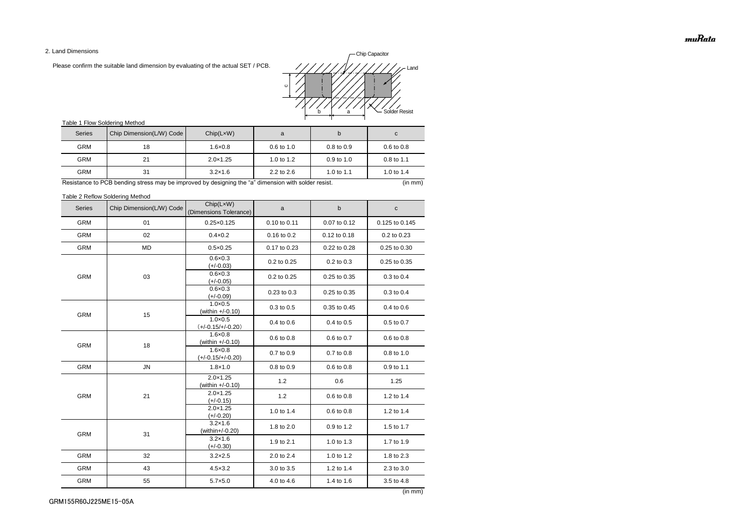2. Land Dimensions

Please confirm the suitable land dimension by evaluating of the actual SET / PCB.

# Table 1 Flow Soldering Method

Table 2 Reflow Soldering Method

(in mm)

| <b>Series</b> | Chip Dimension(L/W) Code | Chip(LxW)<br>(Dimensions Tolerance)      | a            | $\mathsf b$  | C              |
|---------------|--------------------------|------------------------------------------|--------------|--------------|----------------|
| <b>GRM</b>    | 01                       | $0.25 \times 0.125$                      | 0.10 to 0.11 | 0.07 to 0.12 | 0.125 to 0.145 |
| <b>GRM</b>    | 02                       | $0.4 \times 0.2$                         | 0.16 to 0.2  | 0.12 to 0.18 | 0.2 to 0.23    |
| <b>GRM</b>    | <b>MD</b>                | $0.5 \times 0.25$                        | 0.17 to 0.23 | 0.22 to 0.28 | 0.25 to 0.30   |
|               |                          | $0.6 \times 0.3$<br>$(+/-0.03)$          | 0.2 to 0.25  | 0.2 to 0.3   | 0.25 to 0.35   |
| <b>GRM</b>    | 03                       | $0.6 \times 0.3$<br>$(+/-0.05)$          | 0.2 to 0.25  | 0.25 to 0.35 | 0.3 to 0.4     |
|               |                          | $0.6 \times 0.3$<br>$(+/-0.09)$          | 0.23 to 0.3  | 0.25 to 0.35 | 0.3 to 0.4     |
| <b>GRM</b>    | 15                       | $1.0 \times 0.5$<br>(within +/-0.10)     | 0.3 to 0.5   | 0.35 to 0.45 | 0.4 to 0.6     |
|               |                          | $1.0 \times 0.5$<br>$(+/-0.15/+/-0.20)$  | 0.4 to 0.6   | 0.4 to 0.5   | 0.5 to 0.7     |
| <b>GRM</b>    | 18                       | $1.6 \times 0.8$<br>(within $+/-0.10$ )  | 0.6 to 0.8   | 0.6 to 0.7   | 0.6 to 0.8     |
|               |                          | $1.6 \times 0.8$<br>$(+/-0.15/+/-0.20)$  | 0.7 to 0.9   | 0.7 to 0.8   | 0.8 to 1.0     |
| <b>GRM</b>    | ${\sf JN}$               | $1.8 \times 1.0$                         | 0.8 to 0.9   | 0.6 to 0.8   | 0.9 to 1.1     |
|               | 21                       | $2.0 \times 1.25$<br>(within $+/-0.10$ ) | 1.2          | 0.6          | 1.25           |
| <b>GRM</b>    |                          | $2.0 \times 1.25$<br>$(+/-0.15)$         | 1.2          | 0.6 to 0.8   | 1.2 to 1.4     |
|               |                          | $2.0 \times 1.25$<br>$(+/-0.20)$         | 1.0 to 1.4   | 0.6 to 0.8   | 1.2 to 1.4     |
| <b>GRM</b>    | 31                       | $3.2 \times 1.6$<br>(within+/-0.20)      | 1.8 to 2.0   | 0.9 to 1.2   | 1.5 to 1.7     |
|               |                          | $3.2 \times 1.6$<br>$(+/-0.30)$          | 1.9 to 2.1   | 1.0 to 1.3   | 1.7 to 1.9     |
| <b>GRM</b>    | 32                       | $3.2 \times 2.5$                         | 2.0 to 2.4   | 1.0 to 1.2   | 1.8 to 2.3     |
| <b>GRM</b>    | 43                       | $4.5 \times 3.2$                         | 3.0 to 3.5   | 1.2 to 1.4   | 2.3 to 3.0     |
| <b>GRM</b>    | 55                       | $5.7 \times 5.0$                         | 4.0 to 4.6   | 1.4 to 1.6   | 3.5 to 4.8     |

| <b>Series</b> | Chip Dimension(L/W) Code | Chip(LxW)         | a                     | b                     | C                     |
|---------------|--------------------------|-------------------|-----------------------|-----------------------|-----------------------|
| <b>GRM</b>    | 18                       | $1.6 \times 0.8$  | $0.6 \text{ to } 1.0$ | $0.8 \text{ to } 0.9$ | $0.6 \text{ to } 0.8$ |
| <b>GRM</b>    | 21                       | $2.0 \times 1.25$ | 1.0 to $1.2$          | $0.9$ to 1.0          | $0.8 \text{ to } 1.1$ |
| <b>GRM</b>    | 31                       | $3.2 \times 1.6$  | $2.2$ to $2.6$        | 1.0 to 1.1            | 1.0 to 1.4            |

Resistance to PCB bending stress may be improved by designing the "a" dimension with solder resist. (in mm) (in mm)

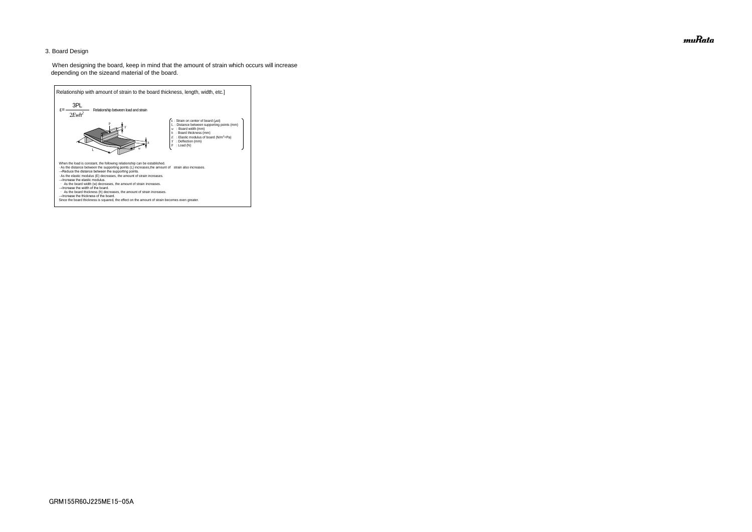## 3. Board Design

 When designing the board, keep in mind that the amount of strain which occurs will increase depending on the sizeand material of the board.



muRata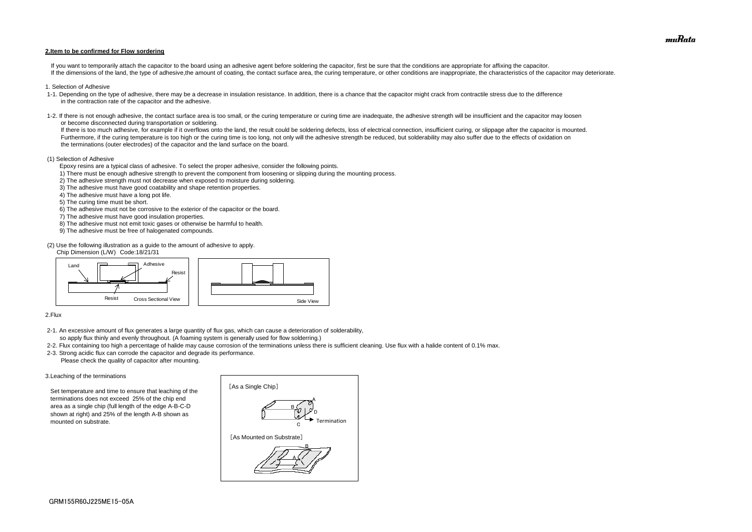#### **2.Item to be confirmed for Flow sordering**

If you want to temporarily attach the capacitor to the board using an adhesive agent before soldering the capacitor, first be sure that the conditions are appropriate for affixing the capacitor. If the dimensions of the land, the type of adhesive, the amount of coating, the contact surface area, the curing temperature, or other conditions are inappropriate, the characteristics of the capacitor may deteriorate.

- 1. Selection of Adhesive
- 1-1. Depending on the type of adhesive, there may be a decrease in insulation resistance. In addition, there is a chance that the capacitor might crack from contractile stress due to the difference in the contraction rate of the capacitor and the adhesive.
- 1-2. If there is not enough adhesive, the contact surface area is too small, or the curing temperature or curing time are inadequate, the adhesive strength will be insufficient and the capacitor may loosen or become disconnected during transportation or soldering.

If there is too much adhesive, for example if it overflows onto the land, the result could be soldering defects, loss of electrical connection, insufficient curing, or slippage after the capacitor is mounted. Furthermore, if the curing temperature is too high or the curing time is too long, not only will the adhesive strength be reduced, but solderability may also suffer due to the effects of oxidation on the terminations (outer electrodes) of the capacitor and the land surface on the board.

#### (1) Selection of Adhesive

Epoxy resins are a typical class of adhesive. To select the proper adhesive, consider the following points.

- 1) There must be enough adhesive strength to prevent the component from loosening or slipping during the mounting process.
- 2) The adhesive strength must not decrease when exposed to moisture during soldering.
- 3) The adhesive must have good coatability and shape retention properties.
- 4) The adhesive must have a long pot life.
- 5) The curing time must be short.
- 6) The adhesive must not be corrosive to the exterior of the capacitor or the board.
- 7) The adhesive must have good insulation properties.
- 8) The adhesive must not emit toxic gases or otherwise be harmful to health.
- 9) The adhesive must be free of halogenated compounds.

(2) Use the following illustration as a guide to the amount of adhesive to apply.

Chip Dimension (L/W) Code:18/21/31

#### 2.Flux

- 2-1. An excessive amount of flux generates a large quantity of flux gas, which can cause a deterioration of solderability, so apply flux thinly and evenly throughout. (A foaming system is generally used for flow solderring.)
- 2-2. Flux containing too high a percentage of halide may cause corrosion of the terminations unless there is sufficient cleaning. Use flux with a halide content of 0.1% max.
- 2-3. Strong acidic flux can corrode the capacitor and degrade its performance. Please check the quality of capacitor after mounting.

#### 3.Leaching of the terminations

 Set temperature and time to ensure that leaching of the terminations does not exceed 25% of the chip end area as a single chip (full length of the edge A-B-C-D shown at right) and 25% of the length A-B shown as mounted on substrate.





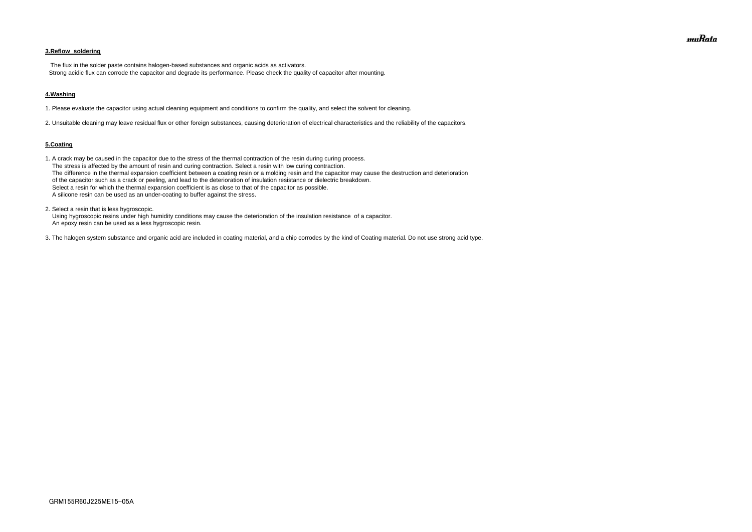## **3.Reflow soldering**

 The flux in the solder paste contains halogen-based substances and organic acids as activators. Strong acidic flux can corrode the capacitor and degrade its performance. Please check the quality of capacitor after mounting.

#### **4.Washing**

1. Please evaluate the capacitor using actual cleaning equipment and conditions to confirm the quality, and select the solvent for cleaning.

2. Unsuitable cleaning may leave residual flux or other foreign substances, causing deterioration of electrical characteristics and the reliability of the capacitors.

#### **5.Coating**

1. A crack may be caused in the capacitor due to the stress of the thermal contraction of the resin during curing process. The stress is affected by the amount of resin and curing contraction. Select a resin with low curing contraction. The difference in the thermal expansion coefficient between a coating resin or a molding resin and the capacitor may cause the destruction and deterioration of the capacitor such as a crack or peeling, and lead to the deterioration of insulation resistance or dielectric breakdown. Select a resin for which the thermal expansion coefficient is as close to that of the capacitor as possible. A silicone resin can be used as an under-coating to buffer against the stress.

2. Select a resin that is less hygroscopic.

 Using hygroscopic resins under high humidity conditions may cause the deterioration of the insulation resistance of a capacitor. An epoxy resin can be used as a less hygroscopic resin.

3. The halogen system substance and organic acid are included in coating material, and a chip corrodes by the kind of Coating material. Do not use strong acid type.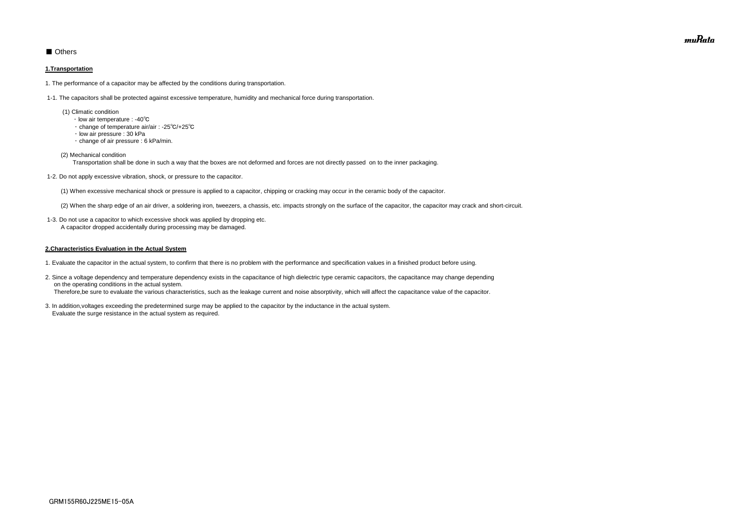# ■ Others

#### **1.Transportation**

1. The performance of a capacitor may be affected by the conditions during transportation.

1-1. The capacitors shall be protected against excessive temperature, humidity and mechanical force during transportation.

- (1) Climatic condition
	- ・ low air temperature : -40℃
	- ・ change of temperature air/air : -25℃/+25℃
	- ・ low air pressure : 30 kPa
	- ・ change of air pressure : 6 kPa/min.
- (2) Mechanical condition

Transportation shall be done in such a way that the boxes are not deformed and forces are not directly passed on to the inner packaging.

1-2. Do not apply excessive vibration, shock, or pressure to the capacitor.

(1) When excessive mechanical shock or pressure is applied to a capacitor, chipping or cracking may occur in the ceramic body of the capacitor.

(2) When the sharp edge of an air driver, a soldering iron, tweezers, a chassis, etc. impacts strongly on the surface of the capacitor, the capacitor may crack and short-circuit.

 1-3. Do not use a capacitor to which excessive shock was applied by dropping etc. A capacitor dropped accidentally during processing may be damaged.

#### **2.Characteristics Evaluation in the Actual System**

- 1. Evaluate the capacitor in the actual system, to confirm that there is no problem with the performance and specification values in a finished product before using.
- 2. Since a voltage dependency and temperature dependency exists in the capacitance of high dielectric type ceramic capacitors, the capacitance may change depending on the operating conditions in the actual system. Therefore,be sure to evaluate the various characteristics, such as the leakage current and noise absorptivity, which will affect the capacitance value of the capacitor.
- 3. In addition,voltages exceeding the predetermined surge may be applied to the capacitor by the inductance in the actual system. Evaluate the surge resistance in the actual system as required.

muRata